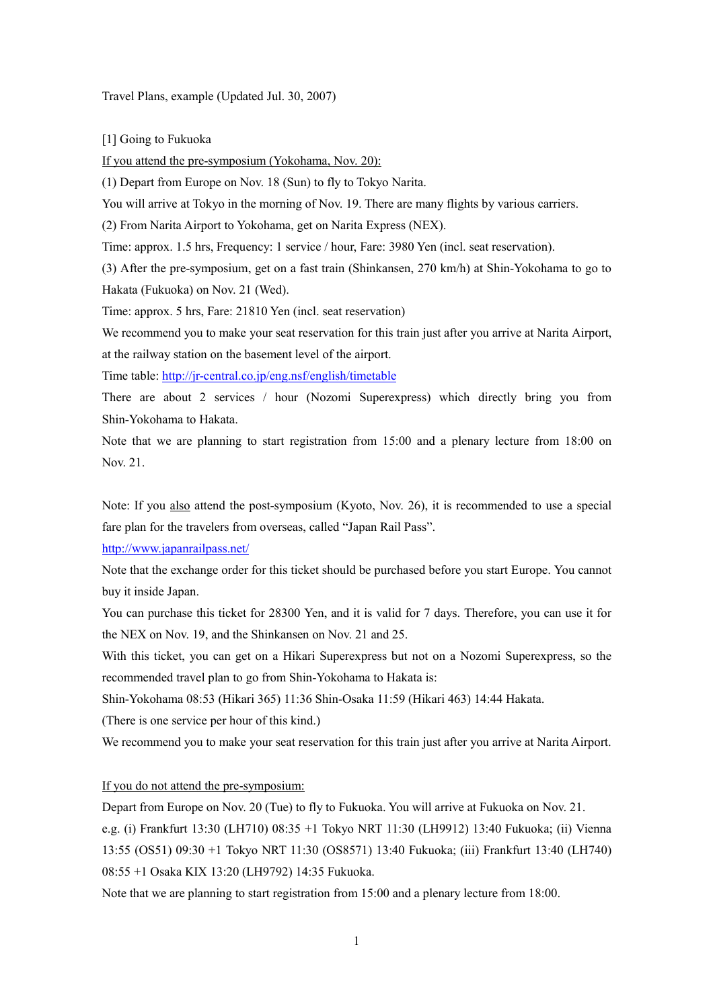Travel Plans, example (Updated Jul. 30, 2007)

[1] Going to Fukuoka

If you attend the pre-symposium (Yokohama, Nov. 20):

(1) Depart from Europe on Nov. 18 (Sun) to fly to Tokyo Narita.

You will arrive at Tokyo in the morning of Nov. 19. There are many flights by various carriers.

(2) From Narita Airport to Yokohama, get on Narita Express (NEX).

Time: approx. 1.5 hrs, Frequency: 1 service / hour, Fare: 3980 Yen (incl. seat reservation).

(3) After the pre-symposium, get on a fast train (Shinkansen, 270 km/h) at Shin-Yokohama to go to Hakata (Fukuoka) on Nov. 21 (Wed).

Time: approx. 5 hrs, Fare: 21810 Yen (incl. seat reservation)

We recommend you to make your seat reservation for this train just after you arrive at Narita Airport, at the railway station on the basement level of the airport.

Time table: http://jr-central.co.jp/eng.nsf/english/timetable

There are about 2 services / hour (Nozomi Superexpress) which directly bring you from Shin-Yokohama to Hakata.

Note that we are planning to start registration from 15:00 and a plenary lecture from 18:00 on Nov. 21.

Note: If you also attend the post-symposium (Kyoto, Nov. 26), it is recommended to use a special fare plan for the travelers from overseas, called "Japan Rail Pass".

http://www.japanrailpass.net/

Note that the exchange order for this ticket should be purchased before you start Europe. You cannot buy it inside Japan.

You can purchase this ticket for 28300 Yen, and it is valid for 7 days. Therefore, you can use it for the NEX on Nov. 19, and the Shinkansen on Nov. 21 and 25.

With this ticket, you can get on a Hikari Superexpress but not on a Nozomi Superexpress, so the recommended travel plan to go from Shin-Yokohama to Hakata is:

Shin-Yokohama 08:53 (Hikari 365) 11:36 Shin-Osaka 11:59 (Hikari 463) 14:44 Hakata.

(There is one service per hour of this kind.)

We recommend you to make your seat reservation for this train just after you arrive at Narita Airport.

## If you do not attend the pre-symposium:

Depart from Europe on Nov. 20 (Tue) to fly to Fukuoka. You will arrive at Fukuoka on Nov. 21.

e.g. (i) Frankfurt 13:30 (LH710) 08:35 +1 Tokyo NRT 11:30 (LH9912) 13:40 Fukuoka; (ii) Vienna 13:55 (OS51) 09:30 +1 Tokyo NRT 11:30 (OS8571) 13:40 Fukuoka; (iii) Frankfurt 13:40 (LH740) 08:55 +1 Osaka KIX 13:20 (LH9792) 14:35 Fukuoka.

Note that we are planning to start registration from 15:00 and a plenary lecture from 18:00.